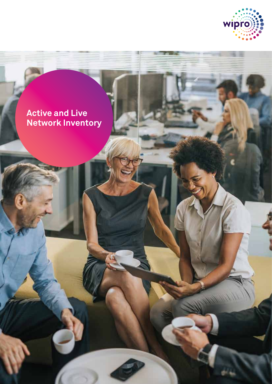

1.1.1.1.12

# **Active and Live Network Inventory**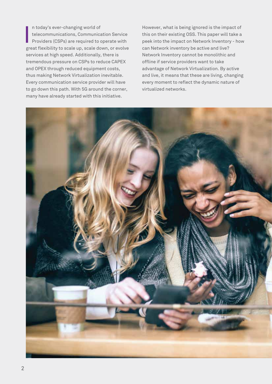n today's ever-changing world of telecommunications, Communication Service Providers (CSPs) are required to operate with great flexibility to scale up, scale down, or evolve services at high speed. Additionally, there is tremendous pressure on CSPs to reduce CAPEX and OPEX through reduced equipment costs, thus making Network Virtualization inevitable. Every communication service provider will have to go down this path. With 5G around the corner, many have already started with this initiative. I

However, what is being ignored is the impact of this on their existing OSS. This paper will take a peek into the impact on Network Inventory - how can Network inventory be active and live? Network Inventory cannot be monolithic and offline if service providers want to take advantage of Network Virtualization. By active and live, it means that these are living, changing every moment to reflect the dynamic nature of virtualized networks.

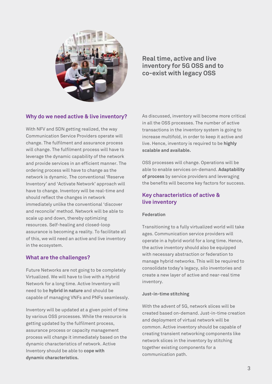

**Real time, active and live inventory for 5G OSS and to co-exist with legacy OSS**

# **Why do we need active & live inventory?**

With NFV and SDN getting realized, the way Communication Service Providers operate will change. The fulfilment and assurance process will change. The fulfilment process will have to leverage the dynamic capability of the network and provide services in an efficient manner. The ordering process will have to change as the network is dynamic. The conventional 'Reserve Inventory' and 'Activate Network' approach will have to change. Inventory will be real-time and should reflect the changes in network immediately unlike the conventional 'discover and reconcile' method. Network will be able to scale up and down, thereby optimizing resources. Self-healing and closed-loop assurance is becoming a reality. To facilitate all of this, we will need an active and live inventory in the ecosystem.

## **What are the challenges?**

Future Networks are not going to be completely Virtualized. We will have to live with a Hybrid Network for a long time. Active Inventory will need to be **hybrid in nature** and should be capable of managing VNFs and PNFs seamlessly.

Inventory will be updated at a given point of time by various OSS processes. While the resource is getting updated by the fulfilment process, assurance process or capacity management process will change it immediately based on the dynamic characteristics of network. Active Inventory should be able to **cope with dynamic characteristics.**

As discussed, inventory will become more critical in all the OSS processes. The number of active transactions in the inventory system is going to increase multifold, in order to keep it active and live. Hence, inventory is required to be **highly scalable and available.**

OSS processes will change. Operations will be able to enable services on-demand. **Adaptability of process** by service providers and leveraging the benefits will become key factors for success.

# **Key characteristics of active & live inventory**

## **Federation**

Transitioning to a fully virtualized world will take ages. Communication service providers will operate in a hybrid world for a long time. Hence, the active inventory should also be equipped with necessary abstraction or federation to manage hybrid networks. This will be required to consolidate today's legacy, silo inventories and create a new layer of active and near-real time inventory.

## **Just-in-time stitching**

With the advent of 5G, network slices will be created based on-demand. Just-in-time creation and deployment of virtual network will be common. Active inventory should be capable of creating transient networking components like network slices in the inventory by stitching together existing components for a communication path.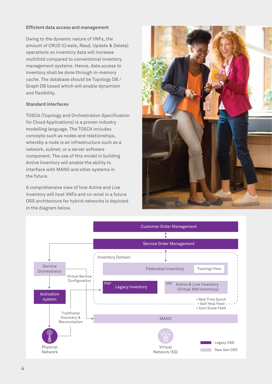#### **Efficient data access and management**

Owing to the dynamic nature of VNFs, the amount of CRUD (Create, Read, Update & Delete) operations on inventory data will increase multifold compared to conventional inventory management systems. Hence, data access to inventory shall be done through in-memory cache. The database should be Topology DB / Graph DB based which will enable dynamism and flexibility.

#### **Standard interfaces**

TOSCA (Topology and Orchestration Specification for Cloud Applications) is a proven industry modelling language. The TOSCA includes concepts such as nodes and relationships, whereby a node is an infrastructure such as a network, subnet, or a server software component. The use of this model in building Active Inventory will enable the ability to interface with MANO and other systems in the future.

A comprehensive view of how Active and Live Inventory will host VNFs and co-exist in a future OSS architecture for hybrid networks is depicted in the diagram below.



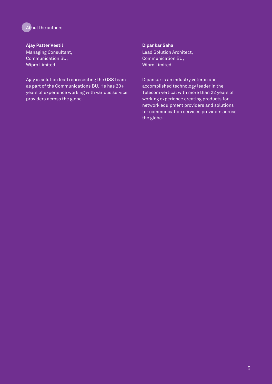

**Ajay Patter Veetil** Managing Consultant, Communication BU, Wipro Limited.

Ajay is solution lead representing the OSS team as part of the Communications BU. He has 20+ years of experience working with various service providers across the globe.

#### **Dipankar Saha**

Lead Solution Architect, Communication BU, Wipro Limited.

Dipankar is an industry veteran and accomplished technology leader in the Telecom vertical with more than 22 years of working experience creating products for network equipment providers and solutions for communication services providers across the globe.